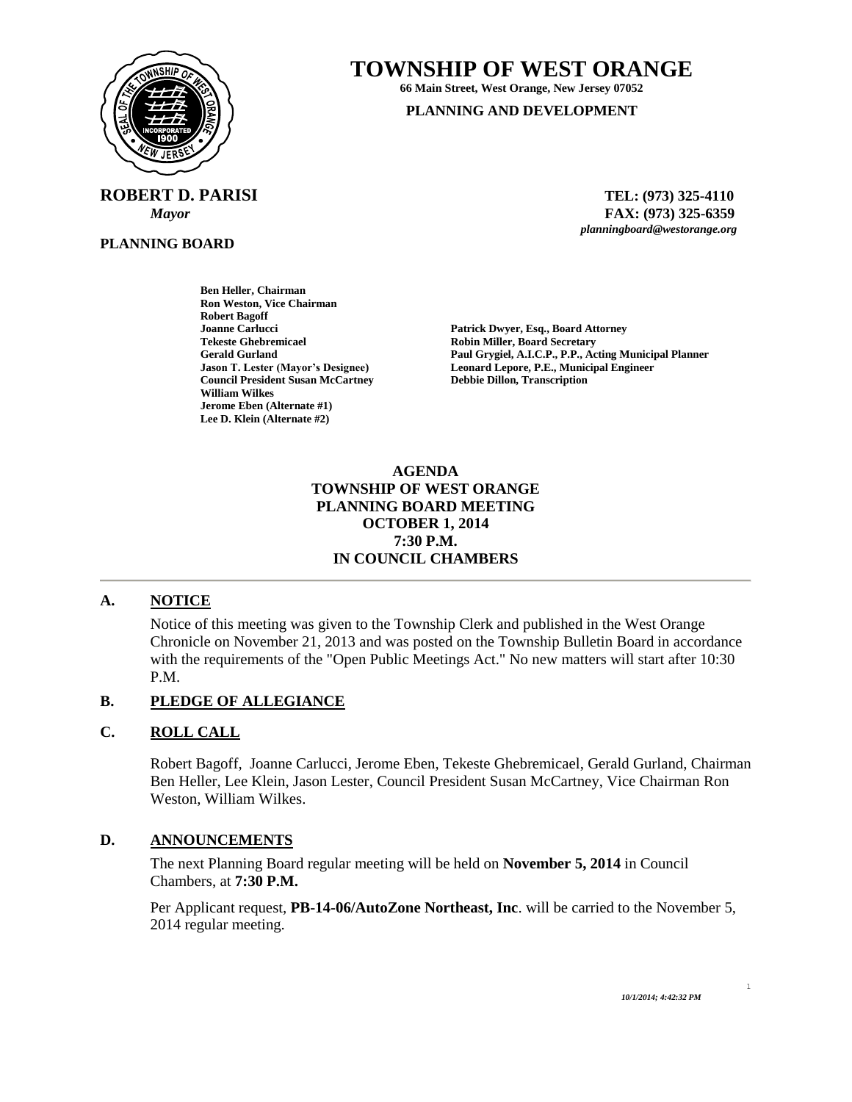

 **ROBERT D. PARISI TEL: (973) 325-4110**

**PLANNING BOARD**

# **TOWNSHIP OF WEST ORANGE**

**66 Main Street, West Orange, New Jersey 07052**

#### **PLANNING AND DEVELOPMENT**

 *Mayor* **FAX: (973) 325-6359** *planningboard@westorange.org*

**Ben Heller, Chairman Ron Weston, Vice Chairman Robert Bagoff Joanne Carlucci Patrick Dwyer, Esq., Board Attorney Tekeste Ghebremicael Robin Miller, Board Secretary Council President Susan McCartney Debbie Dillon, Transcription William Wilkes Jerome Eben (Alternate #1) Lee D. Klein (Alternate #2)**

**Gerald Gurland Paul Grygiel, A.I.C.P., P.P., Acting Municipal Planner Jason T. Lester (Mayor's Designee) Leonard Lepore, P.E., Municipal Engineer**

#### **AGENDA TOWNSHIP OF WEST ORANGE PLANNING BOARD MEETING OCTOBER 1, 2014 7:30 P.M. IN COUNCIL CHAMBERS**

## **A. NOTICE**

Notice of this meeting was given to the Township Clerk and published in the West Orange Chronicle on November 21, 2013 and was posted on the Township Bulletin Board in accordance with the requirements of the "Open Public Meetings Act." No new matters will start after 10:30 P.M.

## **B. PLEDGE OF ALLEGIANCE**

#### **C. ROLL CALL**

Robert Bagoff, Joanne Carlucci, Jerome Eben, Tekeste Ghebremicael, Gerald Gurland, Chairman Ben Heller, Lee Klein, Jason Lester, Council President Susan McCartney, Vice Chairman Ron Weston, William Wilkes.

#### **D. ANNOUNCEMENTS**

The next Planning Board regular meeting will be held on **November 5, 2014** in Council Chambers, at **7:30 P.M.**

Per Applicant request, **PB-14-06/AutoZone Northeast, Inc**. will be carried to the November 5, 2014 regular meeting.